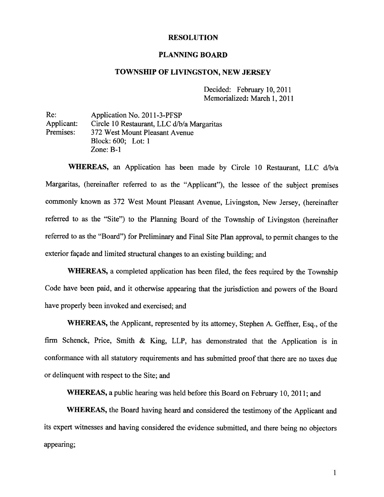#### RESOLUTION

#### PLANNING BOARD

#### TOWNSHIP OF LIVINGSTON, NEW JERSEY

Decided: February 10, 2011 Memorialized: March 1, 2011

Re: Application No. 2011-3-PFSP Applicant: Circle 10 Restaurant, LLC d/b/a Margaritas<br>Premises: 372 West Mount Pleasant Avenue 372 West Mount Pleasant Avenue Block: 600; Lot: 1 Zone: B-i

WHEREAS, an Application has been made by Circle 10 Restaurant, LLC d/b/a Margaritas, (hereinafter referred to as the "Applicant"), the lessee of the subject premises commonly known as <sup>372</sup> West Mount Pleasant Avenue, Livingston, New Jersey, (hereinafter referred to as the "Site") to the Planning Board of the Township of Livingston (hereinafter referred to as the "Board") for Preliminary and Final Site Plan approval, to permit changes to the exterior façade and limited structural changes to an existing building; and

WHEREAS, <sup>a</sup> completed application has been filed, the fees required by the Township Code have been paid, and it otherwise appearing that the jurisdiction and powers of the Board have properly been invoked and exercised; and

WHEREAS, the Applicant, represented by its attorney, Stephen A. Geffner, Esq., of the firm Schenck, Price, Smith & King, LLP, has demonstrated that the Application is in conformance with all statutory requirements and has submitted proo<sup>f</sup> that there are no taxes due or delinquent with respec<sup>t</sup> to the Site; and

WHEREAS, <sup>a</sup> public hearing was held before this Board on February 10, 2011; and

WHEREAS, the Board having heard and considered the testimony of the Applicant and its exper<sup>t</sup> witnesses and having considered the evidence submitted, and there being no objectors appearing;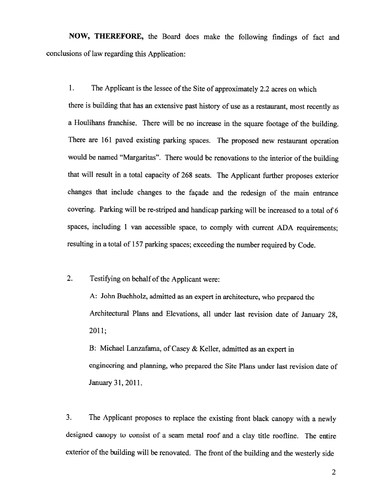NOW, THEREFORE, the Board does make the following findings of fact and conclusions of law regarding this Application:

1. The Applicant is the lessee of the Site of approximately 2.2 acres on which

there is building that has an extensive past history of use as <sup>a</sup> restaurant, most recently as <sup>a</sup> Houlihans franchise. There will be no increase in the square footage of the building. There are <sup>161</sup> paved existing parking spaces. The proposed new restaurant operation would be named "Margaritas". There would be renovations to the interior of the building that will result in <sup>a</sup> total capacity of <sup>268</sup> seats. The Applicant further proposes exterior changes that include changes to the façade and the redesign of the main entrance covering. Parking will be re-striped and handicap parking will be increased to <sup>a</sup> total of <sup>6</sup> spaces, including <sup>I</sup> van accessible space, to comply with current ADA requirements; resulting in <sup>a</sup> total of <sup>157</sup> parking spaces; exceeding the number required by Code.

2. Testifying on behalf of the Applicant were:

A: John Buchholz, admitted as an expert in architecture, who prepared the Architectural Plans and Elevations, all under last revision date of January 28, 2011;

B: Michael Lanzafama, of Casey & Keller, admitted as an expert in engineering and <sup>p</sup>lanning, who prepared the Site Plans under last revision date of January 31, 2011.

3. The Applicant proposes to replace the existing front black canopy with <sup>a</sup> newly designed canopy to consist of <sup>a</sup> seam metal roof and <sup>a</sup> clay title roofline. The entire exterior of the building will be renovated. The front of the building and the westerly side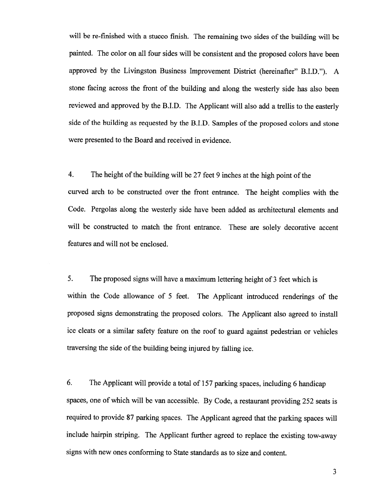will be re-finished with <sup>a</sup> stucco finish. The remaining two sides of the building will be painted. The color on all four sides will be consistent and the propose<sup>d</sup> colors have been approve<sup>d</sup> by the Livingston Business Improvement District (hereinafter" B.I.D."). <sup>A</sup> stone facing across the front of the building and along the westerly side has also been reviewed and approve<sup>d</sup> by the B.LD. The Applicant will also add <sup>a</sup> trellis to the easterly side of the building as requested by the B.I.D. Samples of the propose<sup>d</sup> colors and stone were presented to the Board and received in evidence.

4. The height of the building will be 27 feet 9 inches at the high point of the curved arch to be constructed over the front entrance. The height complies with the Code. Pergolas along the westerly side have been added as architectural elements and will be constructed to match the front entrance. These are solely decorative accent features and will not be enclosed.

5. The propose<sup>d</sup> signs will have <sup>a</sup> maximum lettering height of <sup>3</sup> feet which is within the Code allowance of <sup>5</sup> feet. The Applicant introduced renderings of the propose<sup>d</sup> signs demonstrating the propose<sup>d</sup> colors. The Applicant also agree<sup>d</sup> to install ice cleats or <sup>a</sup> similar safety feature on the roof to guar<sup>d</sup> against pedestrian or vehicles traversing the side of the building being injured by falling ice.

6. The Applicant will provide <sup>a</sup> total of <sup>157</sup> parking spaces, including <sup>6</sup> handicap spaces, one of which will be van accessible. By Code, <sup>a</sup> restaurant providing <sup>252</sup> seats is required to provide <sup>87</sup> parking spaces. The Applicant agree<sup>d</sup> that the parking spaces will include hairpin striping. The Applicant further agree<sup>d</sup> to replace the existing tow-away signs with new ones conforming to State standards as to size and content.

3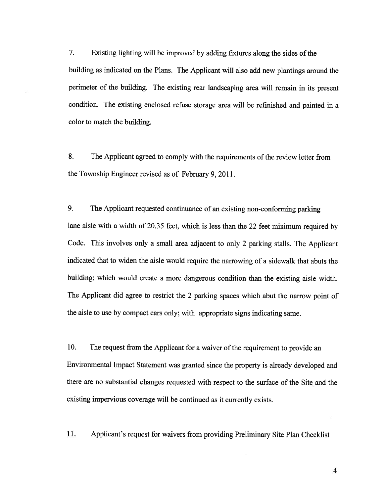7. Existing lighting will be improved by adding fixtures along the sides of the building as indicated on the Plans. The Applicant will also add new <sup>p</sup>lantings around the perimeter of the building. The existing rear landscaping area will remain in its presen<sup>t</sup> condition. The existing enclosed refuse storage area will be refinished and painted in <sup>a</sup> color to match the building.

8. The Applicant agreed to comply with the requirements of the review letter from the Township Engineer revised as of February 9, 2011.

9. The Applicant requested continuance of an existing non-conforming parking lane aisle with <sup>a</sup> width of 20.35 feet, which is less than the <sup>22</sup> feet minimum required by Code. This involves only <sup>a</sup> small area adjacent to only <sup>2</sup> parking stalls. The Applicant indicated that to widen the aisle would require the narrowing of <sup>a</sup> sidewalk that abuts the building; which would create <sup>a</sup> more dangerous condition than the existing aisle width. The Applicant did agree to restrict the <sup>2</sup> parking spaces which abut the narrow point of the aisle to use by compac<sup>t</sup> cars only; with appropriate signs indicating same.

10. The reques<sup>t</sup> from the Applicant for <sup>a</sup> waiver of the requirement to provide an Environmental Impact Statement was granted since the property is already developed and there are no substantial changes requested with respec<sup>t</sup> to the surface of the Site and the existing impervious coverage will be continued as it currently exists.

11. Applicant's reques<sup>t</sup> for waivers from providing Preliminary Site Plan Checklist

4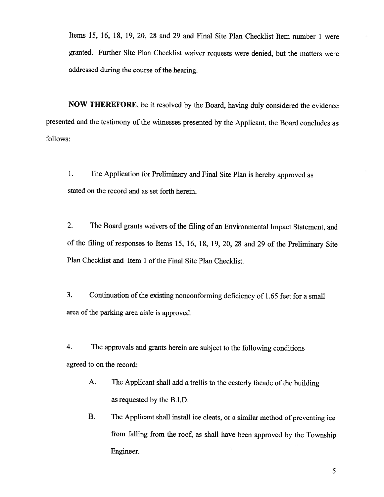Items 15, 16, 18, 19, 20, 28 and 29 and Final Site Plan Checklist Item number 1 were granted. Further Site Plan Checklist waiver requests were denied, but the matters were addressed during the course of the hearing.

NOW THEREFORE, be it resolved by the Board, having duly considered the evidence presented and the testimony of the witnesses presented by the Applicant, the Board concludes as follows:

1. The Application for Preliminary and Final Site Plan is hereby approved as stated on the record and as set forth herein.

2. The Board grants waivers of the filing of an Environmental Impact Statement, and of the filing of responses to Items 15, 16, 18, 19, 20, <sup>28</sup> and <sup>29</sup> of the Preliminary Site Plan Checklist and Item 1 of the Final Site Plan Checklist.

3. Continuation of the existing nonconforming deficiency of 1.65 feet for a small area of the parking area aisle is approved.

4. The approvals and grants herein are subject to the following conditions agreed to on the record:

- A. The Applicant shall add a trellis to the easterly facade of the building as requested by the B.I.D.
- B. The Applicant shall install ice cleats, or <sup>a</sup> similar method of preventing ice from falling from the roof, as shall have been approved by the Township Engineer.

5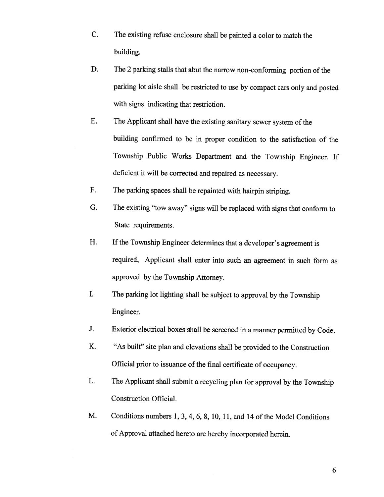- C. The existing refuse enclosure shall be painted <sup>a</sup> color to match the building.
- D. The 2 parking stalls that abut the narrow non-conforming portion of the parking lot aisle shall be restricted to use by compact cars only and posted with signs indicating that restriction.
- E. The Applicant shall have the existing sanitary sewer system of the building confirmed to be in proper condition to the satisfaction of the Township Public Works Department and the Township Engineer. If deficient it will be corrected and repaired as necessary.
- F. The parking spaces shall be repainted with hairpin striping.
- G. The existing "tow away" signs will be replaced with signs that conform to State requirements.
- H. If the Township Engineer determines that a developer's agreement is required, Applicant shall enter into such an agreement in such form as approved by the Township Attorney.
- I. The parking lot lighting shall be subject to approval by the Township Engineer.
- J. Exterior electrical boxes shall be screened in <sup>a</sup> manner permitted by Code.
- K. "As built" site <sup>p</sup>lan and elevations shall be provided to the Construction Official prior to issuance of the final certificate of occupancy.
- L. The Applicant shall submit <sup>a</sup> recycling <sup>p</sup>lan for approval by the Township Construction Official.
- M. Conditions numbers 1, 3, 4, 6, 8, 10, 11, and 14 of the Model Conditions of Approval attached hereto are hereby incorporated herein.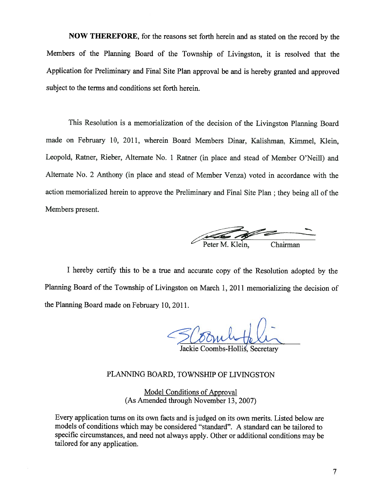NOW THEREFORE, for the reasons set forth herein and as stated on the record by the Members of the Planning Board of the Township of Livingston, it is resolved that the Application for Preliminary and Final Site Plan approva<sup>l</sup> be and is hereby granted and approve<sup>d</sup> subject to the terms and conditions set forth herein.

This Resolution is <sup>a</sup> memorialization of the decision of the Livingston Planning Board made on February 10, 2011, wherein Board Members Dinar, Kalishman, Kimmel, Klein, Leopold, Ratner, Rieber, Alternate No. <sup>1</sup> Ratner (in <sup>p</sup>lace and stead of Member O'Neill) and Alternate No. <sup>2</sup> Anthony (in <sup>p</sup>lace and stead of Member Venza) voted in accordance with the action memorialized herein to approve the Preliminary and Final Site Plan ; they being all of the Members present.

 $-$  —  $-$  —  $-$  —  $-$  —  $-$  —  $-$  —  $-$  —  $-$  —  $-$  —  $-$  —  $-$  —  $-$  —  $-$  —  $-$  —  $-$  —  $-$  —  $-$  —  $-$  —  $-$  —  $-$  —  $-$  —  $-$  —  $-$  —  $-$  —  $-$  —  $-$  —  $-$  —  $-$  —  $-$  —  $-$  —  $-$  —  $-$  —  $-$  —  $-$  —  $-$  —  $-$  —  $-$  — ————— Chairman

<sup>I</sup> hereby certify this to be <sup>a</sup> true and accurate copy of the Resolution adopted by the Planning Board of the Township of Livingston on March 1, <sup>2011</sup> memorializing the decision of the Planning Board made on February 10, 2011.

Jackie Coombs-Hollis, Secretary

## PLANMNG BOARD, TOWNSHIP OF LIVINGSTON

Model Conditions of Approval (As Amended through November 13, 2007)

Every application turns on its own facts and is judged on its own merits. Listed below are models of conditions which may be considered "standard". <sup>A</sup> standard can be tailored to specific circumstances, and need not always apply. Other or additional conditions may be tailored for any application.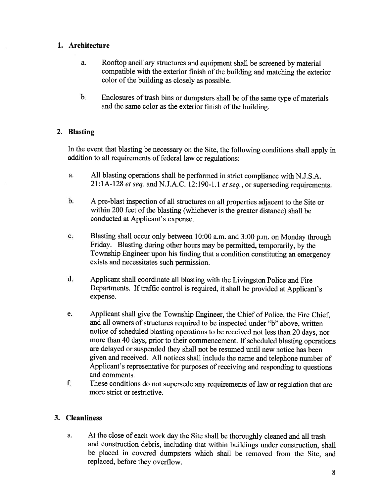#### 1. Architecture

- a. Rooftop ancillary structures and equipment shall be screened by material compatible with the exterior finish of the building and matching the exterior color of the building as closely as possible.
- b. Enclosures of trash bins or dumpsters shall be of the same type of materials and the same color as the exterior finish of the building.

## 2. Blasting

In the event that blasting be necessary on the Site, the following conditions shall apply in addition to all requirements of federal law or regulations:

- a. All blasting operations shall be performed in strict compliance with N.J.S.A. 21:1A-128 et seq. and N.J.A.C. 12:190-1.1 et seq., or superseding requirements.
- b. <sup>A</sup> pre-blast inspection of all structures on all properties adjacent to the Site or within 200 feet of the blasting (whichever is the greater distance) shall be conducted at Applicant's expense.
- c. Blasting shall occur only between 10:00 a.m. and 3:00 p.m. on Monday through Friday. Blasting during other hours may be permitted, temporarily, by the Township Engineer upon his finding that <sup>a</sup> condition constituting an emergency exists and necessitates such permission.
- d. Applicant shall coordinate all blasting with the Livingston Police and Fire Departments. If traffic control is required, it shall be provided at Applicant's expense.
- e. Applicant shall <sup>g</sup>ive the Township Engineer, the Chief of Police, the Fire Chief, and all owners of structures required to be inspected under "b" above, written notice of scheduled blasting operations to be received not less than 20 days, nor more than <sup>40</sup> days, prior to their commencement. If scheduled blasting operations are delayed or suspended they shall not be resumed until new notice has been <sup>g</sup>iven and received. All notices shall include the name and telephone number of Applicant's representative for purposes of receiving and responding to questions and comments.
- f. These conditions do not supersede any requirements of law or regulation that are more strict or restrictive.

## 3. Cleanliness

a. At the close of each work day the Site shall be thoroughly cleaned and all trash and construction debris, including that within buildings under construction, shall be <sup>p</sup>laced in covered dumpsters which shall be removed from the Site, and replaced, before they overflow.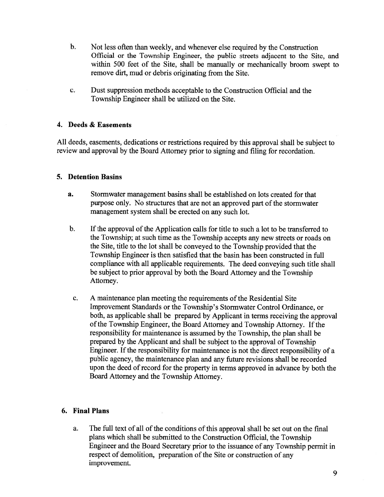- b. Not less often than weekly, and whenever else required by the Construction Official or the Township Engineer, the public streets adjacent to the Site, and within 500 feet of the Site, shall be manually or mechanically broom swep<sup>t</sup> to remove dirt, mud or debris originating from the Site.
- c. Dust suppression methods acceptable to the Construction Official and the Township Engineer shall be utilized on the Site.

#### 4. Deeds & Easements

All deeds, easements, dedications or restrictions required by this approva<sup>l</sup> shall be subject to review and approva<sup>l</sup> by the Board Attorney prior to signing and filing for recordation.

#### 5. Detention Basins

- a. Stormwater managemen<sup>t</sup> basins shall be established on lots created for that purpose only. No structures that are not an approved par<sup>t</sup> of the stormwater managemen<sup>t</sup> system shall be erected on any such lot.
- b. If the approval of the Application calls for title to such a lot to be transferred to the Township; at such time as the Township accepts any new streets or roads on the Site, title to the lot shall be conveyed to the Township provided that the Township Engineer is then satisfied that the basin has been constructed in full compliance with all applicable requirements. The deed conveying such title shall be subject to prior approval by both the Board Attorney and the Township Attorney.
- c. A maintenance plan meeting the requirements of the Residential Site Improvement Standards or the Township's Stormwater Control Ordinance, or both, as applicable shall be prepared by Applicant in terms receiving the approval ofthe Township Engineer, the Board Attorney and Township Attorney. If the responsibility for maintenance is assumed by the Township, the plan shall be prepared by the Applicant and shall be subject to the approva<sup>l</sup> of Township Engineer. If the responsibility for maintenance is not the direct responsibility of <sup>a</sup> public agency, the maintenance <sup>p</sup>lan and any future revisions shall be recorded upon the deed of record for the property in terms approve<sup>d</sup> in advance by both the Board Attorney and the Township Attorney.

## 6. Final Plans

a. The full text of all of the conditions of this approval shall be set out on the final <sup>p</sup>lans which shall be submitted to the Construction Official, the Township Engineer and the Board Secretary prior to the issuance of any Township permit in respec<sup>t</sup> of demolition, preparation of the Site or construction of any improvement.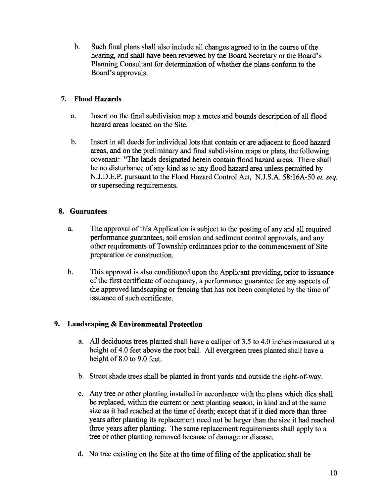b. Such final plans shall also include all changes agreed to in the course of the hearing, and shall have been reviewed by the Board Secretary or the Board's Planning Consultant for determination of whether the plans conform to the Board's approvals.

# 7. Flood Hazards

- a. Insert on the final subdivision map <sup>a</sup> metes and bounds description of all flood hazard areas located on the Site.
- b. Insert in all deeds for individual lots that contain or are adjacent to flood hazard areas, and on the preliminary and final subdivision maps or <sup>p</sup>lats, the following covenant: "The lands designated herein contain flood hazard areas. There shall be no disturbance of any kind as to any flood hazard area unless permitted by N.J.D.E.P. pursuan<sup>t</sup> to the Flood Hazard Control Act, N.J.S.A. 58:16A-50 et. seq. or superseding requirements.

# 8. Guarantees

- a. The approval of this Application is subject to the posting of any and all required performance guarantees, soil erosion and sediment control approvals, and any other requirements of Township ordinances prior to the commencement of Site preparation or construction.
- b. This approval is also conditioned upon the Applicant providing, prior to issuance of the first certificate of occupancy, a performance guarantee for any aspects of the approved landscaping or fencing that has not been completed by the time of issuance of such certificate.

# 9. Landscaping & Environmental Protection

- a. All deciduous trees planted shall have <sup>a</sup> caliper of 3.5 to 4.0 inches measured at <sup>a</sup> height of 4.0 feet above the root ball. All evergreen trees planted shall have <sup>a</sup> height of 8.0 to 9.0 feet.
- b. Street shade trees shall be planted in front yards and outside the right-of-way.
- c. Any tree or other planting installed in accordance with the plans which dies shall be replaced, within the current or next <sup>p</sup>lanting season, in kind and at the same size as it had reached at the time of death; excep<sup>t</sup> that if it died more than three years after <sup>p</sup>lanting its replacement need not be larger than the size it had reached three years after <sup>p</sup>lanting. The same replacement requirements shall apply to <sup>a</sup> tree or other <sup>p</sup>lanting removed because of damage or disease.
- d. No tree existing on the Site at the time of filing of the application shall be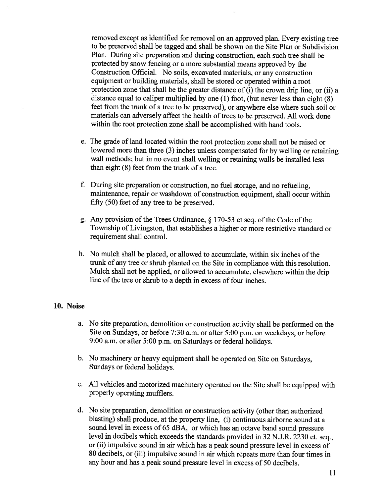removed excep<sup>t</sup> as identified for removal on an approve<sup>d</sup> <sup>p</sup>lan. Every existing tree to be preserved shall be tagged and shall be shown on the Site Plan or Subdivision Plan. During site preparation and during construction, each such tree shall be protected by snow fencing or <sup>a</sup> more substantial means approve<sup>d</sup> by the Construction Official. No soils, excavated materials, or any construction equipment or building materials, shall be stored or operated within <sup>a</sup> root protection zone that shall be the greater distance of (i) the crown drip line, or (ii) <sup>a</sup> distance equa<sup>l</sup> to caliper multiplied by one (1) foot, (but never less than eight (8) feet from the trunk of <sup>a</sup> tree to be preserved), or anywhere else where such soil or materials can adversely affect the health of trees to be preserved. All work done within the root protection zone shall be accomplished with hand tools.

- e. The grade of land located within the root protection zone shall not be raised or lowered more than three (3) inches unless compensated for by welling or retaining wall methods; but in no event shall welling or retaining walls be installed less than eight (8) feet from the trunk of <sup>a</sup> tree.
- f. During site preparation or construction, no fuel storage, and no refueling, maintenance, repair or washdown of construction equipment, shall occur within fifty (50) feet of any tree to be preserved.
- g. Any provision of the Trees Ordinance,  $\S$  170-53 et seq. of the Code of the Township of Livingston, that establishes <sup>a</sup> higher or more restrictive standard or requirement shall control.
- h. No mulch shall be placed, or allowed to accumulate, within six inches of the trunk of any tree or shrub <sup>p</sup>lanted on the Site in compliance with this resolution. Mulch shall not be applied, or allowed to accumulate, elsewhere within the drip line of the tree or shrub to <sup>a</sup> depth in excess of four inches.

#### 10. Noise

- a. No site preparation, demolition or construction activity shall be performed on the Site on Sundays, or before 7:30 a.m. or after 5:00 p.m. on weekdays, or before 9:00 a.m. or after 5:00 p.m. on Saturdays or federal holidays.
- b. No machinery or heavy equipment shall be operated on Site on Saturdays, Sundays or federal holidays.
- c. All vehicles and motorized machinery operated on the Site shall be equipped with properly operating mufflers.
- d. No site preparation, demolition or construction activity (other than authorized blasting) shall produce, at the property line, (i) continuous airborne sound at <sup>a</sup> sound level in excess of <sup>65</sup> dBA, or which has an octave band sound pressure level in decibels which exceeds the standards provided in <sup>32</sup> N.J.R. <sup>2230</sup> et. seq., or (ii) impulsive sound in air which has <sup>a</sup> pea<sup>k</sup> sound pressure level in excess of <sup>80</sup> decibels, or (iii) impulsive sound in air which repeats more than four times in any hour and has <sup>a</sup> pea<sup>k</sup> sound pressure level in excess of 50 decibels.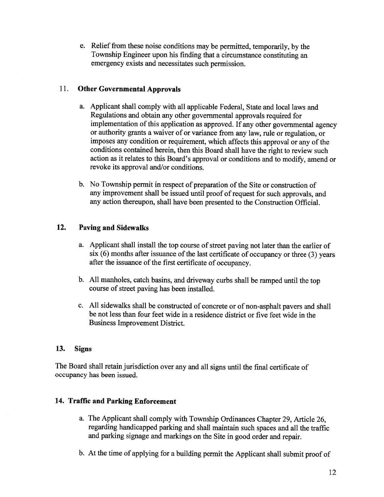e. Relief from these noise conditions may be permitted, temporarily, by the Township Engineer upon his finding that <sup>a</sup> circumstance constituting an emergency exists and necessitates such permission.

## 11. Other Governmental Approvals

- a. Applicant shall comply with all applicable Federal, State and local laws and Regulations and obtain any other governmental approvals required for implementation of this application as approved. If any other governmental agency or authority grants <sup>a</sup> waiver of or variance from any law, rule or regulation, or imposes any condition or requirement, which affects this approval or any of the conditions contained herein, then this Board shall have the right to review such action as it relates to this Board's approval or conditions and to modify, amend or revoke its approval and/or conditions.
- b. No Township permit in respect of preparation of the Site or construction of any improvement shall be issued until proof of request for such approvals, and any action thereupon, shall have been presented to the Construction Official.

## 12. Paving and Sidewalks

- a. Applicant shall install the top course of street paving not later than the earlier of  $s$ ix  $(6)$  months after issuance of the last certificate of occupancy or three  $(3)$  years after the issuance of the first certificate of occupancy.
- b. All manholes, catch basins, and driveway curbs shall be ramped until the top course of street paving has been installed.
- c. All sidewalks shall be constructed of concrete or of non-asphalt payers and shall be not less than four feet wide in <sup>a</sup> residence district or five feet wide in the Business Improvement District.

## 13. Signs

The Board shall retain jurisdiction over any and all signs until the final certificate of occupancy has been issued.

# 14. Traffic and Parking Enforcement

- a. The Applicant shall comply with Township Ordinances Chapter 29, Article 26, regarding handicapped parking and shall maintain such spaces and all the traffic and parking signage and markings on the Site in good order and repair.
- b. At the time of applying for <sup>a</sup> building permit the Applicant shall submit proof of